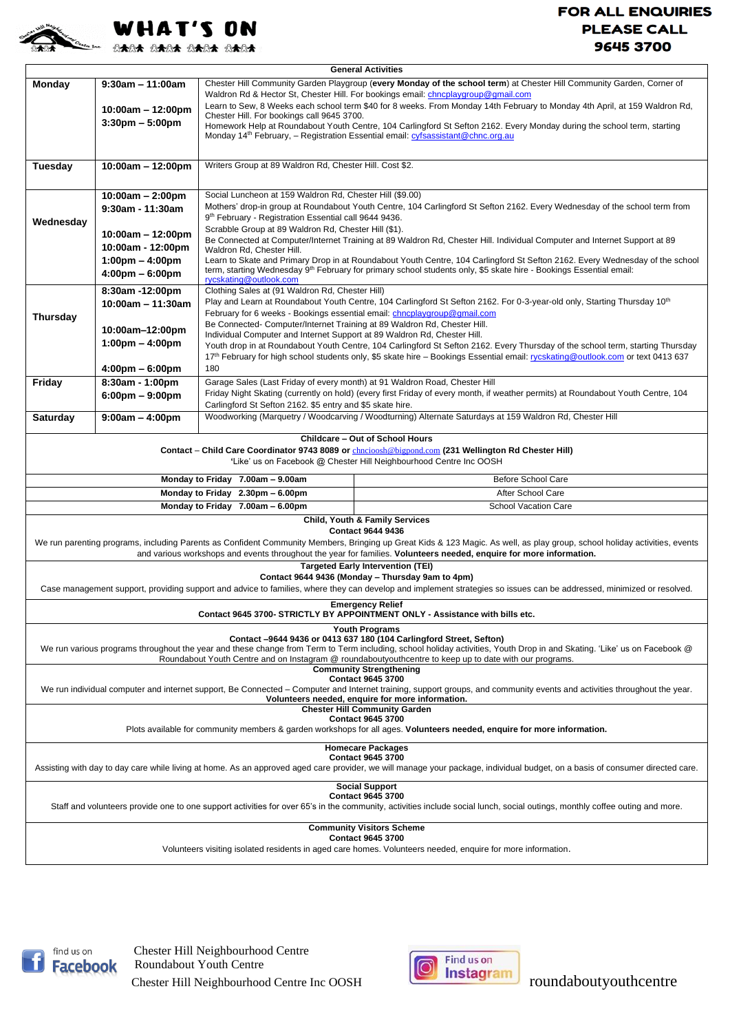

## **FOR ALL ENQUIRIES PLEASE CALL** 9645 3700

| <b>General Activities</b>                                                                                                                                                                              |                                                      |                                                                                                                                                                                                                                                                   |                                                                                                                                  |  |
|--------------------------------------------------------------------------------------------------------------------------------------------------------------------------------------------------------|------------------------------------------------------|-------------------------------------------------------------------------------------------------------------------------------------------------------------------------------------------------------------------------------------------------------------------|----------------------------------------------------------------------------------------------------------------------------------|--|
| Monday                                                                                                                                                                                                 | $9:30$ am - 11:00am                                  | Chester Hill Community Garden Playgroup (every Monday of the school term) at Chester Hill Community Garden, Corner of<br>Waldron Rd & Hector St, Chester Hill. For bookings email: chncplaygroup@gmail.com                                                        |                                                                                                                                  |  |
|                                                                                                                                                                                                        | 10:00am - 12:00pm                                    | Learn to Sew, 8 Weeks each school term \$40 for 8 weeks. From Monday 14th February to Monday 4th April, at 159 Waldron Rd,                                                                                                                                        |                                                                                                                                  |  |
|                                                                                                                                                                                                        | $3:30 \text{pm} - 5:00 \text{pm}$                    | Chester Hill. For bookings call 9645 3700.                                                                                                                                                                                                                        |                                                                                                                                  |  |
|                                                                                                                                                                                                        |                                                      | Homework Help at Roundabout Youth Centre, 104 Carlingford St Sefton 2162. Every Monday during the school term, starting<br>Monday 14 <sup>th</sup> February, - Registration Essential email: <i>cyfsassistant@chnc.org.au</i>                                     |                                                                                                                                  |  |
|                                                                                                                                                                                                        |                                                      |                                                                                                                                                                                                                                                                   |                                                                                                                                  |  |
| Tuesday                                                                                                                                                                                                | $10:00am - 12:00pm$                                  | Writers Group at 89 Waldron Rd, Chester Hill. Cost \$2.                                                                                                                                                                                                           |                                                                                                                                  |  |
|                                                                                                                                                                                                        | $10:00am - 2:00pm$                                   | Social Luncheon at 159 Waldron Rd, Chester Hill (\$9.00)                                                                                                                                                                                                          |                                                                                                                                  |  |
|                                                                                                                                                                                                        | $9:30$ am - 11:30am                                  | Mothers' drop-in group at Roundabout Youth Centre, 104 Carlingford St Sefton 2162. Every Wednesday of the school term from                                                                                                                                        |                                                                                                                                  |  |
| Wednesday                                                                                                                                                                                              |                                                      | 9 <sup>th</sup> February - Registration Essential call 9644 9436.                                                                                                                                                                                                 |                                                                                                                                  |  |
|                                                                                                                                                                                                        | 10:00am - 12:00pm                                    | Scrabble Group at 89 Waldron Rd, Chester Hill (\$1).<br>Be Connected at Computer/Internet Training at 89 Waldron Rd, Chester Hill. Individual Computer and Internet Support at 89                                                                                 |                                                                                                                                  |  |
|                                                                                                                                                                                                        | 10:00am - 12:00pm                                    | Waldron Rd, Chester Hill.                                                                                                                                                                                                                                         |                                                                                                                                  |  |
|                                                                                                                                                                                                        | $1:00 \text{pm} - 4:00 \text{pm}$                    | Learn to Skate and Primary Drop in at Roundabout Youth Centre, 104 Carlingford St Sefton 2162. Every Wednesday of the school                                                                                                                                      |                                                                                                                                  |  |
|                                                                                                                                                                                                        | $4:00 \text{pm} - 6:00 \text{pm}$                    | term, starting Wednesday 9th February for primary school students only, \$5 skate hire - Bookings Essential email:<br>rycskating@outlook.com                                                                                                                      |                                                                                                                                  |  |
|                                                                                                                                                                                                        | 8:30am -12:00pm                                      | Clothing Sales at (91 Waldron Rd, Chester Hill)                                                                                                                                                                                                                   |                                                                                                                                  |  |
| <b>Thursday</b>                                                                                                                                                                                        | 10:00am - 11:30am                                    | Play and Learn at Roundabout Youth Centre, 104 Carlingford St Sefton 2162. For 0-3-year-old only, Starting Thursday 10 <sup>th</sup><br>February for 6 weeks - Bookings essential email: chncplaygroup@gmail.com                                                  |                                                                                                                                  |  |
|                                                                                                                                                                                                        |                                                      | Be Connected- Computer/Internet Training at 89 Waldron Rd, Chester Hill.                                                                                                                                                                                          |                                                                                                                                  |  |
|                                                                                                                                                                                                        | 10:00am-12:00pm<br>$1:00 \text{pm} - 4:00 \text{pm}$ | Individual Computer and Internet Support at 89 Waldron Rd, Chester Hill.                                                                                                                                                                                          |                                                                                                                                  |  |
|                                                                                                                                                                                                        |                                                      | Youth drop in at Roundabout Youth Centre, 104 Carlingford St Sefton 2162. Every Thursday of the school term, starting Thursday<br>17th February for high school students only, \$5 skate hire – Bookings Essential email: rycskating@outlook.com or text 0413 637 |                                                                                                                                  |  |
|                                                                                                                                                                                                        | 4:00pm – 6:00pm                                      | 180                                                                                                                                                                                                                                                               |                                                                                                                                  |  |
| Friday                                                                                                                                                                                                 | 8:30am - 1:00pm                                      | Garage Sales (Last Friday of every month) at 91 Waldron Road, Chester Hill                                                                                                                                                                                        |                                                                                                                                  |  |
|                                                                                                                                                                                                        | $6:00 \text{pm} - 9:00 \text{pm}$                    |                                                                                                                                                                                                                                                                   | Friday Night Skating (currently on hold) (every first Friday of every month, if weather permits) at Roundabout Youth Centre, 104 |  |
|                                                                                                                                                                                                        |                                                      | Carlingford St Sefton 2162. \$5 entry and \$5 skate hire.<br>Woodworking (Marquetry / Woodcarving / Woodturning) Alternate Saturdays at 159 Waldron Rd, Chester Hill                                                                                              |                                                                                                                                  |  |
| $9:00am - 4:00pm$<br><b>Saturday</b>                                                                                                                                                                   |                                                      |                                                                                                                                                                                                                                                                   |                                                                                                                                  |  |
| Childcare - Out of School Hours                                                                                                                                                                        |                                                      |                                                                                                                                                                                                                                                                   |                                                                                                                                  |  |
| Contact – Child Care Coordinator 9743 8089 or chncioosh@bigpond.com (231 Wellington Rd Chester Hill)<br>'Like' us on Facebook @ Chester Hill Neighbourhood Centre Inc OOSH                             |                                                      |                                                                                                                                                                                                                                                                   |                                                                                                                                  |  |
| Monday to Friday 7.00am - 9.00am<br><b>Before School Care</b>                                                                                                                                          |                                                      |                                                                                                                                                                                                                                                                   |                                                                                                                                  |  |
| Monday to Friday 2.30pm - 6.00pm                                                                                                                                                                       |                                                      |                                                                                                                                                                                                                                                                   | After School Care                                                                                                                |  |
|                                                                                                                                                                                                        |                                                      | Monday to Friday 7.00am - 6.00pm                                                                                                                                                                                                                                  | School Vacation Care                                                                                                             |  |
| <b>Child, Youth &amp; Family Services</b>                                                                                                                                                              |                                                      |                                                                                                                                                                                                                                                                   |                                                                                                                                  |  |
| <b>Contact 9644 9436</b><br>We run parenting programs, including Parents as Confident Community Members, Bringing up Great Kids & 123 Magic. As well, as play group, school holiday activities, events |                                                      |                                                                                                                                                                                                                                                                   |                                                                                                                                  |  |
| and various workshops and events throughout the year for families. Volunteers needed, enquire for more information.                                                                                    |                                                      |                                                                                                                                                                                                                                                                   |                                                                                                                                  |  |
| <b>Targeted Early Intervention (TEI)</b>                                                                                                                                                               |                                                      |                                                                                                                                                                                                                                                                   |                                                                                                                                  |  |
| Contact 9644 9436 (Monday - Thursday 9am to 4pm)                                                                                                                                                       |                                                      |                                                                                                                                                                                                                                                                   |                                                                                                                                  |  |
| Case management support, providing support and advice to families, where they can develop and implement strategies so issues can be addressed, minimized or resolved.                                  |                                                      |                                                                                                                                                                                                                                                                   |                                                                                                                                  |  |
| <b>Emergency Relief</b><br>Contact 9645 3700- STRICTLY BY APPOINTMENT ONLY - Assistance with bills etc.                                                                                                |                                                      |                                                                                                                                                                                                                                                                   |                                                                                                                                  |  |
| <b>Youth Programs</b><br>Contact -9644 9436 or 0413 637 180 (104 Carlingford Street, Sefton)                                                                                                           |                                                      |                                                                                                                                                                                                                                                                   |                                                                                                                                  |  |
| We run various programs throughout the year and these change from Term to Term including, school holiday activities, Youth Drop in and Skating. 'Like' us on Facebook @                                |                                                      |                                                                                                                                                                                                                                                                   |                                                                                                                                  |  |
| Roundabout Youth Centre and on Instagram @ roundaboutyouthcentre to keep up to date with our programs.<br><b>Community Strengthening</b>                                                               |                                                      |                                                                                                                                                                                                                                                                   |                                                                                                                                  |  |
| <b>Contact 9645 3700</b>                                                                                                                                                                               |                                                      |                                                                                                                                                                                                                                                                   |                                                                                                                                  |  |
| We run individual computer and internet support, Be Connected - Computer and Internet training, support groups, and community events and activities throughout the year.                               |                                                      |                                                                                                                                                                                                                                                                   |                                                                                                                                  |  |
| Volunteers needed, enquire for more information.<br><b>Chester Hill Community Garden</b>                                                                                                               |                                                      |                                                                                                                                                                                                                                                                   |                                                                                                                                  |  |
| <b>Contact 9645 3700</b>                                                                                                                                                                               |                                                      |                                                                                                                                                                                                                                                                   |                                                                                                                                  |  |
| Plots available for community members & garden workshops for all ages. Volunteers needed, enquire for more information.                                                                                |                                                      |                                                                                                                                                                                                                                                                   |                                                                                                                                  |  |
| <b>Homecare Packages</b><br><b>Contact 9645 3700</b>                                                                                                                                                   |                                                      |                                                                                                                                                                                                                                                                   |                                                                                                                                  |  |
| Assisting with day to day care while living at home. As an approved aged care provider, we will manage your package, individual budget, on a basis of consumer directed care.                          |                                                      |                                                                                                                                                                                                                                                                   |                                                                                                                                  |  |
| <b>Social Support</b>                                                                                                                                                                                  |                                                      |                                                                                                                                                                                                                                                                   |                                                                                                                                  |  |
| <b>Contact 9645 3700</b>                                                                                                                                                                               |                                                      |                                                                                                                                                                                                                                                                   |                                                                                                                                  |  |
| Staff and volunteers provide one to one support activities for over 65's in the community, activities include social lunch, social outings, monthly coffee outing and more.                            |                                                      |                                                                                                                                                                                                                                                                   |                                                                                                                                  |  |
| <b>Community Visitors Scheme</b>                                                                                                                                                                       |                                                      |                                                                                                                                                                                                                                                                   |                                                                                                                                  |  |
| <b>Contact 9645 3700</b><br>Volunteers visiting isolated residents in aged care homes. Volunteers needed, enquire for more information.                                                                |                                                      |                                                                                                                                                                                                                                                                   |                                                                                                                                  |  |
|                                                                                                                                                                                                        |                                                      |                                                                                                                                                                                                                                                                   |                                                                                                                                  |  |